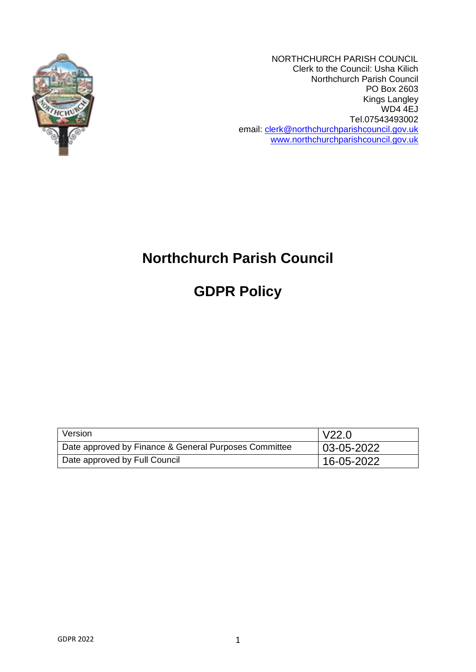

NORTHCHURCH PARISH COUNCIL Clerk to the Council: Usha Kilich Northchurch Parish Council PO Box 2603 Kings Langley WD4 4EJ Tel.07543493002 email: [clerk@northchurchparishcouncil.gov.uk](mailto:clerk@northchurchparishcouncil.gov.uk) [www.northchurchparishcouncil.gov.uk](http://www.northchurchparishcouncil.gov.uk/)

# **Northchurch Parish Council**

**GDPR Policy**

| Version                                               | l V22.0       |
|-------------------------------------------------------|---------------|
| Date approved by Finance & General Purposes Committee | 03-05-2022    |
| Date approved by Full Council                         | $ 16-05-2022$ |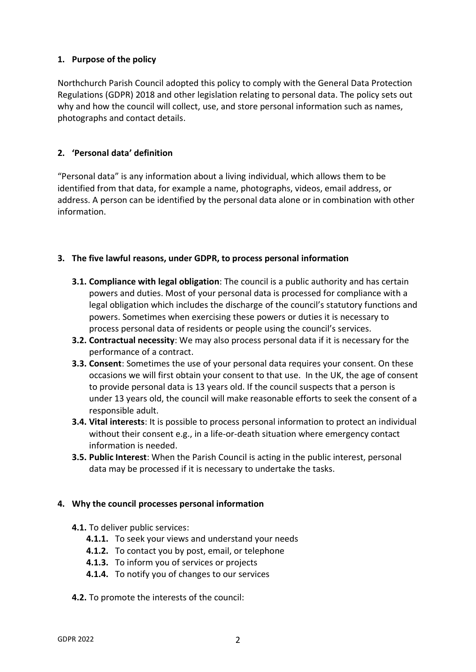## **1. Purpose of the policy**

Northchurch Parish Council adopted this policy to comply with the General Data Protection Regulations (GDPR) 2018 and other legislation relating to personal data. The policy sets out why and how the council will collect, use, and store personal information such as names, photographs and contact details.

## **2. 'Personal data' definition**

"Personal data" is any information about a living individual, which allows them to be identified from that data, for example a name, photographs, videos, email address, or address. A person can be identified by the personal data alone or in combination with other information.

## **3. The five lawful reasons, under GDPR, to process personal information**

- **3.1. Compliance with legal obligation**: The council is a public authority and has certain powers and duties. Most of your personal data is processed for compliance with a legal obligation which includes the discharge of the council's statutory functions and powers. Sometimes when exercising these powers or duties it is necessary to process personal data of residents or people using the council's services.
- **3.2. Contractual necessity**: We may also process personal data if it is necessary for the performance of a contract.
- **3.3. Consent**: Sometimes the use of your personal data requires your consent. On these occasions we will first obtain your consent to that use. In the UK, the age of consent to provide personal data is 13 years old. If the council suspects that a person is under 13 years old, the council will make reasonable efforts to seek the consent of a responsible adult.
- **3.4. Vital interests**: It is possible to process personal information to protect an individual without their consent e.g., in a life-or-death situation where emergency contact information is needed.
- **3.5. Public Interest**: When the Parish Council is acting in the public interest, personal data may be processed if it is necessary to undertake the tasks.

#### **4. Why the council processes personal information**

- **4.1.** To deliver public services:
	- **4.1.1.** To seek your views and understand your needs
	- **4.1.2.** To contact you by post, email, or telephone
	- **4.1.3.** To inform you of services or projects
	- **4.1.4.** To notify you of changes to our services
- **4.2.** To promote the interests of the council: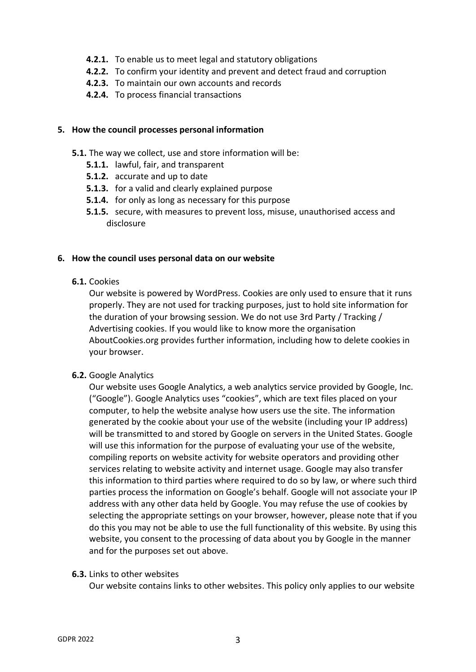- **4.2.1.** To enable us to meet legal and statutory obligations
- **4.2.2.** To confirm your identity and prevent and detect fraud and corruption
- **4.2.3.** To maintain our own accounts and records
- **4.2.4.** To process financial transactions

#### **5. How the council processes personal information**

- **5.1.** The way we collect, use and store information will be:
	- **5.1.1.** lawful, fair, and transparent
	- **5.1.2.** accurate and up to date
	- **5.1.3.** for a valid and clearly explained purpose
	- **5.1.4.** for only as long as necessary for this purpose
	- **5.1.5.** secure, with measures to prevent loss, misuse, unauthorised access and disclosure

#### **6. How the council uses personal data on our website**

**6.1.** Cookies

Our website is powered by WordPress. Cookies are only used to ensure that it runs properly. They are not used for tracking purposes, just to hold site information for the duration of your browsing session. We do not use 3rd Party / Tracking / Advertising cookies. If you would like to know more the organisation AboutCookies.org provides further information, including how to delete cookies in your browser.

#### **6.2.** Google Analytics

Our website uses Google Analytics, a web analytics service provided by Google, Inc. ("Google"). Google Analytics uses "cookies", which are text files placed on your computer, to help the website analyse how users use the site. The information generated by the cookie about your use of the website (including your IP address) will be transmitted to and stored by Google on servers in the United States. Google will use this information for the purpose of evaluating your use of the website, compiling reports on website activity for website operators and providing other services relating to website activity and internet usage. Google may also transfer this information to third parties where required to do so by law, or where such third parties process the information on Google's behalf. Google will not associate your IP address with any other data held by Google. You may refuse the use of cookies by selecting the appropriate settings on your browser, however, please note that if you do this you may not be able to use the full functionality of this website. By using this website, you consent to the processing of data about you by Google in the manner and for the purposes set out above.

#### **6.3.** Links to other websites

Our website contains links to other websites. This policy only applies to our website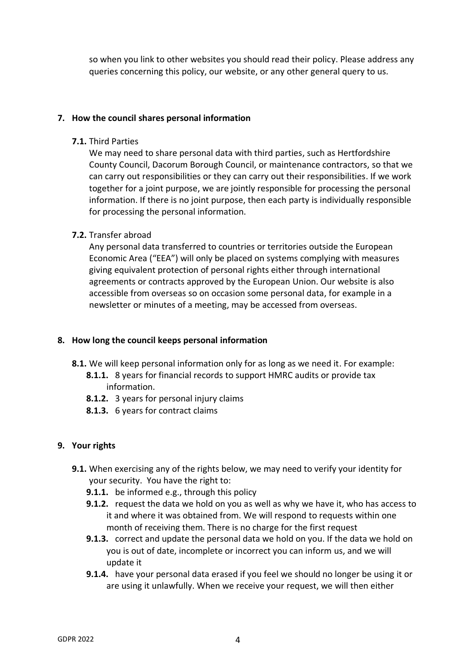so when you link to other websites you should read their policy. Please address any queries concerning this policy, our website, or any other general query to us.

### **7. How the council shares personal information**

**7.1.** Third Parties

We may need to share personal data with third parties, such as Hertfordshire County Council, Dacorum Borough Council, or maintenance contractors, so that we can carry out responsibilities or they can carry out their responsibilities. If we work together for a joint purpose, we are jointly responsible for processing the personal information. If there is no joint purpose, then each party is individually responsible for processing the personal information.

## **7.2.** Transfer abroad

Any personal data transferred to countries or territories outside the European Economic Area ("EEA") will only be placed on systems complying with measures giving equivalent protection of personal rights either through international agreements or contracts approved by the European Union. Our website is also accessible from overseas so on occasion some personal data, for example in a newsletter or minutes of a meeting, may be accessed from overseas.

## **8. How long the council keeps personal information**

- **8.1.** We will keep personal information only for as long as we need it. For example:
	- **8.1.1.** 8 years for financial records to support HMRC audits or provide tax information.
	- **8.1.2.** 3 years for personal injury claims
	- **8.1.3.** 6 years for contract claims

## **9. Your rights**

- **9.1.** When exercising any of the rights below, we may need to verify your identity for your security. You have the right to:
	- **9.1.1.** be informed e.g., through this policy
	- **9.1.2.** request the data we hold on you as well as why we have it, who has access to it and where it was obtained from. We will respond to requests within one month of receiving them. There is no charge for the first request
	- **9.1.3.** correct and update the personal data we hold on you. If the data we hold on you is out of date, incomplete or incorrect you can inform us, and we will update it
	- **9.1.4.** have your personal data erased if you feel we should no longer be using it or are using it unlawfully. When we receive your request, we will then either